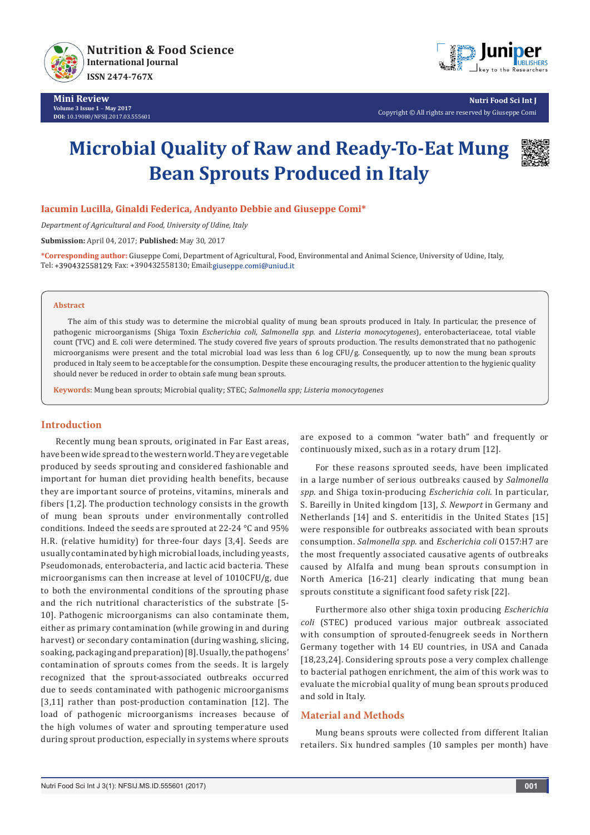

**Mini Review Volume 3 Issue 1** - **May 2017 DOI:** [10.19080/NFSIJ.2017.03.5556](http://dx.doi.org/10.19080/NFSIJ.2017.03.555601)01



**Nutri Food Sci Int J** Copyright © All rights are reserved by Giuseppe Comi

# **Microbial Quality of Raw and Ready-To-Eat Mung Bean Sprouts Produced in Italy**



**Iacumin Lucilla, Ginaldi Federica, Andyanto Debbie and Giuseppe Comi\***

*Department of Agricultural and Food, University of Udine, Italy*

**Submission:** April 04, 2017; **Published:** May 30, 2017

**\*Corresponding author:** Giuseppe Comi, Department of Agricultural, Food, Environmental and Animal Science, University of Udine, Italy, Tel: +390432558129; Fax: +390432558130; Email:giuseppe.comi@uniud.it

#### **Abstract**

The aim of this study was to determine the microbial quality of mung bean sprouts produced in Italy. In particular, the presence of pathogenic microorganisms (Shiga Toxin *Escherichia coli, Salmonella spp.* and *Listeria monocytogenes*), enterobacteriaceae, total viable count (TVC) and E. coli were determined. The study covered five years of sprouts production. The results demonstrated that no pathogenic microorganisms were present and the total microbial load was less than 6 log CFU/g. Consequently, up to now the mung bean sprouts produced in Italy seem to be acceptable for the consumption. Despite these encouraging results, the producer attention to the hygienic quality should never be reduced in order to obtain safe mung bean sprouts.

**Keywords**: Mung bean sprouts; Microbial quality; STEC; *Salmonella spp; Listeria monocytogenes*

## **Introduction**

Recently mung bean sprouts, originated in Far East areas, have been wide spread to the western world. They are vegetable produced by seeds sprouting and considered fashionable and important for human diet providing health benefits, because they are important source of proteins, vitamins, minerals and fibers [1,2]. The production technology consists in the growth of mung bean sprouts under environmentally controlled conditions. Indeed the seeds are sprouted at 22-24 °C and 95% H.R. (relative humidity) for three-four days [3,4]. Seeds are usually contaminated by high microbial loads, including yeasts, Pseudomonads, enterobacteria, and lactic acid bacteria. These microorganisms can then increase at level of 1010CFU/g, due to both the environmental conditions of the sprouting phase and the rich nutritional characteristics of the substrate [5- 10]. Pathogenic microorganisms can also contaminate them, either as primary contamination (while growing in and during harvest) or secondary contamination (during washing, slicing, soaking, packaging and preparation) [8]. Usually, the pathogens' contamination of sprouts comes from the seeds. It is largely recognized that the sprout-associated outbreaks occurred due to seeds contaminated with pathogenic microorganisms [3,11] rather than post-production contamination [12]. The load of pathogenic microorganisms increases because of the high volumes of water and sprouting temperature used during sprout production, especially in systems where sprouts are exposed to a common "water bath" and frequently or continuously mixed, such as in a rotary drum [12].

For these reasons sprouted seeds, have been implicated in a large number of serious outbreaks caused by *Salmonella spp*. and Shiga toxin-producing *Escherichia coli*. In particular, S. Bareilly in United kingdom [13], *S. Newport* in Germany and Netherlands [14] and S. enteritidis in the United States [15] were responsible for outbreaks associated with bean sprouts consumption. *Salmonella spp*. and *Escherichia coli* O157:H7 are the most frequently associated causative agents of outbreaks caused by Alfalfa and mung bean sprouts consumption in North America [16-21] clearly indicating that mung bean sprouts constitute a significant food safety risk [22].

Furthermore also other shiga toxin producing *Escherichia coli* (STEC) produced various major outbreak associated with consumption of sprouted-fenugreek seeds in Northern Germany together with 14 EU countries, in USA and Canada [18,23,24]. Considering sprouts pose a very complex challenge to bacterial pathogen enrichment, the aim of this work was to evaluate the microbial quality of mung bean sprouts produced and sold in Italy.

### **Material and Methods**

Mung beans sprouts were collected from different Italian retailers. Six hundred samples (10 samples per month) have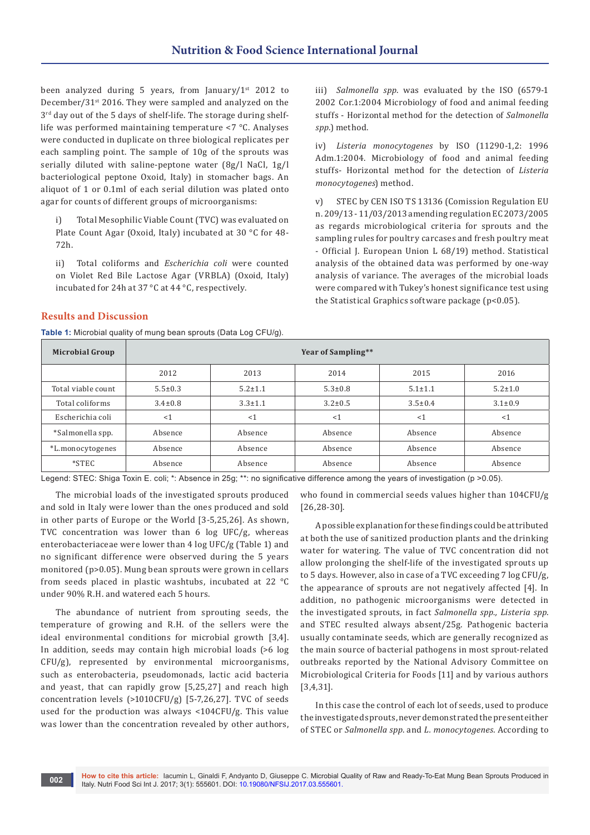been analyzed during 5 years, from January/ $1^{st}$  2012 to December/31st 2016. They were sampled and analyzed on the  $3<sup>rd</sup>$  day out of the 5 days of shelf-life. The storage during shelflife was performed maintaining temperature <7 °C. Analyses were conducted in duplicate on three biological replicates per each sampling point. The sample of 10g of the sprouts was serially diluted with saline-peptone water (8g/l NaCl, 1g/l bacteriological peptone Oxoid, Italy) in stomacher bags. An aliquot of 1 or 0.1ml of each serial dilution was plated onto agar for counts of different groups of microorganisms:

i) Total Mesophilic Viable Count (TVC) was evaluated on Plate Count Agar (Oxoid, Italy) incubated at 30 °C for 48- 72h.

ii) Total coliforms and *Escherichia coli* were counted on Violet Red Bile Lactose Agar (VRBLA) (Oxoid, Italy) incubated for 24h at 37 °C at 44 °C, respectively.

iii) *Salmonella spp*. was evaluated by the ISO (6579-1 2002 Cor.1:2004 Microbiology of food and animal feeding stuffs - Horizontal method for the detection of *Salmonella spp*.) method.

iv) *Listeria monocytogenes* by ISO (11290-1,2: 1996 Adm.1:2004. Microbiology of food and animal feeding stuffs- Horizontal method for the detection of *Listeria monocytogenes*) method.

v) STEC by CEN ISO TS 13136 (Comission Regulation EU n. 209/13 - 11/03/2013 amending regulation EC 2073/2005 as regards microbiological criteria for sprouts and the sampling rules for poultry carcases and fresh poultry meat - Official J. European Union L 68/19) method. Statistical analysis of the obtained data was performed by one-way analysis of variance. The averages of the microbial loads were compared with Tukey's honest significance test using the Statistical Graphics software package (p<0.05).

#### **Results and Discussion**

**Table 1:** Microbial quality of mung bean sprouts (Data Log CFU/g).

| <b>Microbial Group</b> | Year of Sampling** |               |               |               |               |
|------------------------|--------------------|---------------|---------------|---------------|---------------|
|                        | 2012               | 2013          | 2014          | 2015          | 2016          |
| Total viable count     | $5.5 \pm 0.3$      | $5.2 \pm 1.1$ | $5.3 \pm 0.8$ | $5.1 \pm 1.1$ | $5.2 \pm 1.0$ |
| Total coliforms        | $3.4 \pm 0.8$      | $3.3 \pm 1.1$ | $3.2 \pm 0.5$ | $3.5 \pm 0.4$ | $3.1 \pm 0.9$ |
| Escherichia coli       | <1                 | <1            | <1            | <1            | <1            |
| *Salmonella spp.       | Absence            | Absence       | Absence       | Absence       | Absence       |
| *L.monocytogenes       | Absence            | Absence       | Absence       | Absence       | Absence       |
| $*$ STEC               | Absence            | Absence       | Absence       | Absence       | Absence       |

Legend: STEC: Shiga Toxin E. coli; \*: Absence in 25g; \*\*: no significative difference among the years of investigation (p >0.05).

The microbial loads of the investigated sprouts produced and sold in Italy were lower than the ones produced and sold in other parts of Europe or the World [3-5,25,26]. As shown, TVC concentration was lower than 6 log UFC/g, whereas enterobacteriaceae were lower than 4 log UFC/g (Table 1) and no significant difference were observed during the 5 years monitored (p>0.05). Mung bean sprouts were grown in cellars from seeds placed in plastic washtubs, incubated at 22 °C under 90% R.H. and watered each 5 hours.

The abundance of nutrient from sprouting seeds, the temperature of growing and R.H. of the sellers were the ideal environmental conditions for microbial growth [3,4]. In addition, seeds may contain high microbial loads (>6 log CFU/g), represented by environmental microorganisms, such as enterobacteria, pseudomonads, lactic acid bacteria and yeast, that can rapidly grow [5,25,27] and reach high concentration levels (>1010CFU/g) [5-7,26,27]. TVC of seeds used for the production was always <104CFU/g. This value was lower than the concentration revealed by other authors,

who found in commercial seeds values higher than 104CFU/g [26,28-30].

A possible explanation for these findings could be attributed at both the use of sanitized production plants and the drinking water for watering. The value of TVC concentration did not allow prolonging the shelf-life of the investigated sprouts up to 5 days. However, also in case of a TVC exceeding 7 log CFU/g, the appearance of sprouts are not negatively affected [4]. In addition, no pathogenic microorganisms were detected in the investigated sprouts, in fact *Salmonella spp., Listeria spp*. and STEC resulted always absent/25g. Pathogenic bacteria usually contaminate seeds, which are generally recognized as the main source of bacterial pathogens in most sprout-related outbreaks reported by the National Advisory Committee on Microbiological Criteria for Foods [11] and by various authors [3,4,31].

In this case the control of each lot of seeds, used to produce the investigated sprouts, never demonstrated the present either of STEC or *Salmonella spp*. and *L. monocytogenes*. According to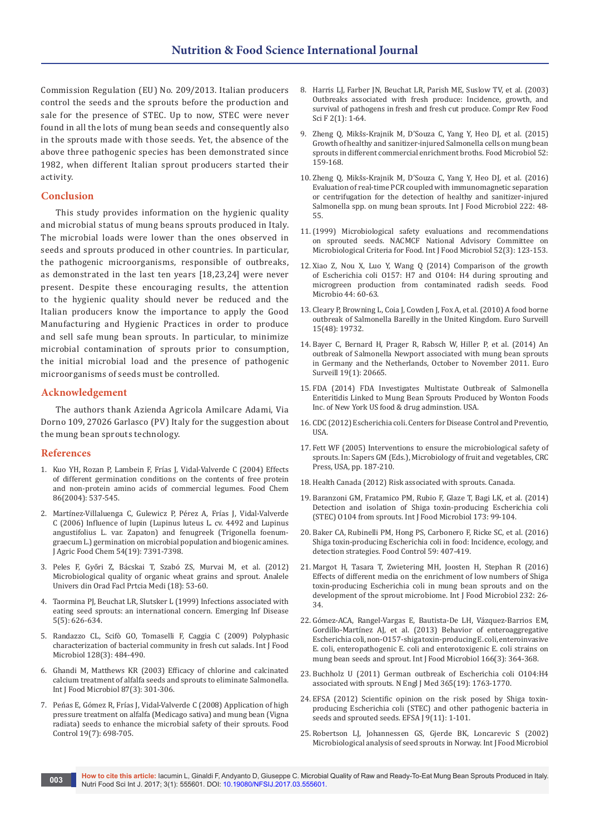Commission Regulation (EU) No. 209/2013. Italian producers control the seeds and the sprouts before the production and sale for the presence of STEC. Up to now, STEC were never found in all the lots of mung bean seeds and consequently also in the sprouts made with those seeds. Yet, the absence of the above three pathogenic species has been demonstrated since 1982, when different Italian sprout producers started their activity.

#### **Conclusion**

This study provides information on the hygienic quality and microbial status of mung beans sprouts produced in Italy. The microbial loads were lower than the ones observed in seeds and sprouts produced in other countries. In particular, the pathogenic microorganisms, responsible of outbreaks, as demonstrated in the last ten years [18,23,24] were never present. Despite these encouraging results, the attention to the hygienic quality should never be reduced and the Italian producers know the importance to apply the Good Manufacturing and Hygienic Practices in order to produce and sell safe mung bean sprouts. In particular, to minimize microbial contamination of sprouts prior to consumption, the initial microbial load and the presence of pathogenic microorganisms of seeds must be controlled.

#### **Acknowledgement**

The authors thank Azienda Agricola Amilcare Adami, Via Dorno 109, 27026 Garlasco (PV) Italy for the suggestion about the mung bean sprouts technology.

#### **References**

- 1. [Kuo YH, Rozan P, Lambein F, Frías J, Vidal-Valverde C \(2004\) Effects](http://www.sciencedirect.com/science/article/pii/S0308814603005211)  [of different germination conditions on the contents of free protein](http://www.sciencedirect.com/science/article/pii/S0308814603005211)  [and non-protein amino acids of commercial legumes. Food Chem](http://www.sciencedirect.com/science/article/pii/S0308814603005211)  [86\(2004\): 537-545.](http://www.sciencedirect.com/science/article/pii/S0308814603005211)
- 2. [Martínez-Villaluenga C, Gulewicz P, Pérez A, Frías J, Vidal-Valverde](https://www.ncbi.nlm.nih.gov/pubmed/16968110)  [C \(2006\) Influence of lupin \(Lupinus luteus L. cv. 4492 and Lupinus](https://www.ncbi.nlm.nih.gov/pubmed/16968110)  [angustifolius L. var. Zapaton\) and fenugreek \(Trigonella foenum](https://www.ncbi.nlm.nih.gov/pubmed/16968110)[graecum L.\) germination on microbial population and biogenic amines.](https://www.ncbi.nlm.nih.gov/pubmed/16968110)  [J Agric Food Chem 54\(19\): 7391-7398.](https://www.ncbi.nlm.nih.gov/pubmed/16968110)
- 3. [Peles F, Győri Z, Bácskai T, Szabó ZS, Murvai M, et al. \(2012\)](http://protmed.uoradea.ro/facultate/anale/protectia_mediului/2012A/agr/08.%20Peles%20F_et_al.pdf)  [Microbiological quality of organic wheat grains and sprout. Analele](http://protmed.uoradea.ro/facultate/anale/protectia_mediului/2012A/agr/08.%20Peles%20F_et_al.pdf)  [Univers din Orad Facl Prtcia Medi \(18\): 53-60.](http://protmed.uoradea.ro/facultate/anale/protectia_mediului/2012A/agr/08.%20Peles%20F_et_al.pdf)
- 4. [Taormina PJ, Beuchat LR, Slutsker L \(1999\) Infections associated with](https://www.ncbi.nlm.nih.gov/pubmed/10511518)  [eating seed sprouts: an international concern. Emerging Inf Disease](https://www.ncbi.nlm.nih.gov/pubmed/10511518)  [5\(5\): 626-634.](https://www.ncbi.nlm.nih.gov/pubmed/10511518)
- 5. [Randazzo CL, Scifò GO, Tomaselli F, Caggia C \(2009\) Polyphasic](https://www.ncbi.nlm.nih.gov/pubmed/19027975)  [characterization of bacterial community in fresh cut salads. Int J Food](https://www.ncbi.nlm.nih.gov/pubmed/19027975)  [Microbiol 128\(3\): 484-490.](https://www.ncbi.nlm.nih.gov/pubmed/19027975)
- 6. [Ghandi M, Matthews KR \(2003\) Efficacy of chlorine and calcinated](https://www.ncbi.nlm.nih.gov/pubmed/14527803)  [calcium treatment of alfalfa seeds and sprouts to eliminate Salmonella.](https://www.ncbi.nlm.nih.gov/pubmed/14527803)  [Int J Food Microbiol 87\(3\): 301-306.](https://www.ncbi.nlm.nih.gov/pubmed/14527803)
- 7. [Peńas E, Gómez R, Frías J, Vidal-Valverde C \(2008\) Application of high](http://www.sciencedirect.com/science/article/pii/S0956713507001533)  [pressure treatment on alfalfa \(Medicago sativa\) and mung bean \(Vigna](http://www.sciencedirect.com/science/article/pii/S0956713507001533)  [radiata\) seeds to enhance the microbial safety of their sprouts. Food](http://www.sciencedirect.com/science/article/pii/S0956713507001533)  [Control 19\(7\): 698-705.](http://www.sciencedirect.com/science/article/pii/S0956713507001533)
- 8. [Harris LJ, Farber JN, Beuchat LR, Parish ME, Suslow TV, et al. \(2003\)](http://onlinelibrary.wiley.com/doi/10.1111/j.1541-4337.2003.tb00031.x/abstract)  [Outbreaks associated with fresh produce: Incidence, growth, and](http://onlinelibrary.wiley.com/doi/10.1111/j.1541-4337.2003.tb00031.x/abstract)  [survival of pathogens in fresh and fresh cut produce. Compr Rev Food](http://onlinelibrary.wiley.com/doi/10.1111/j.1541-4337.2003.tb00031.x/abstract)  [Sci F 2\(1\): 1-64.](http://onlinelibrary.wiley.com/doi/10.1111/j.1541-4337.2003.tb00031.x/abstract)
- 9. [Zheng Q, Mikšs-Krajnik M, D'Souza C, Yang Y, Heo DJ, et al. \(2015\)](https://www.ncbi.nlm.nih.gov/pubmed/26338131)  [Growth of healthy and sanitizer-injured Salmonella cells on mung bean](https://www.ncbi.nlm.nih.gov/pubmed/26338131)  [sprouts in different commercial enrichment broths. Food Microbiol 52:](https://www.ncbi.nlm.nih.gov/pubmed/26338131)  [159-168.](https://www.ncbi.nlm.nih.gov/pubmed/26338131)
- 10. Zheng Q, Mikš[s-Krajnik M, D'Souza C, Yang Y, Heo DJ, et al. \(2016\)](https://www.ncbi.nlm.nih.gov/pubmed/26848949)  [Evaluation of real-time PCR coupled with immunomagnetic separation](https://www.ncbi.nlm.nih.gov/pubmed/26848949)  [or centrifugation for the detection of healthy and sanitizer-injured](https://www.ncbi.nlm.nih.gov/pubmed/26848949)  [Salmonella spp. on mung bean sprouts. Int J Food Microbiol 222: 48-](https://www.ncbi.nlm.nih.gov/pubmed/26848949) [55.](https://www.ncbi.nlm.nih.gov/pubmed/26848949)
- 11.[\(1999\) Microbiological safety evaluations and recommendations](https://www.ncbi.nlm.nih.gov/pubmed/10733245)  [on sprouted seeds. NACMCF National Advisory Committee on](https://www.ncbi.nlm.nih.gov/pubmed/10733245)  [Microbiological Criteria for Food. Int J Food Microbiol 52\(3\): 123-153.](https://www.ncbi.nlm.nih.gov/pubmed/10733245)
- 12. [Xiao Z, Nou X, Luo Y, Wang Q \(2014\) Comparison of the growth](https://www.ncbi.nlm.nih.gov/pubmed/25084646)  [of Escherichia coli O157: H7 and O104: H4 during sprouting and](https://www.ncbi.nlm.nih.gov/pubmed/25084646)  [microgreen production from contaminated radish seeds. Food](https://www.ncbi.nlm.nih.gov/pubmed/25084646)  [Microbio 44: 60-63.](https://www.ncbi.nlm.nih.gov/pubmed/25084646)
- 13. [Cleary P, Browning L, Coia J, Cowden J, Fox A, et al. \(2010\) A food borne](https://www.ncbi.nlm.nih.gov/pubmed/21144449)  [outbreak of Salmonella Bareilly in the United Kingdom. Euro Surveill](https://www.ncbi.nlm.nih.gov/pubmed/21144449)  [15\(48\): 19732](https://www.ncbi.nlm.nih.gov/pubmed/21144449).
- 14. [Bayer C, Bernard H, Prager R, Rabsch W, Hiller P, et al. \(2014\) An](https://www.ncbi.nlm.nih.gov/pubmed/24434173)  [outbreak of Salmonella Newport associated with mung bean sprouts](https://www.ncbi.nlm.nih.gov/pubmed/24434173)  [in Germany and the Netherlands, October to November 2011. Euro](https://www.ncbi.nlm.nih.gov/pubmed/24434173)  [Surveill 19\(1\): 20665.](https://www.ncbi.nlm.nih.gov/pubmed/24434173)
- 15. [FDA \(2014\) FDA Investigates Multistate Outbreak of Salmonella](https://www.fda.gov/food/recallsoutbreaksemergencies/outbreaks/ucm424426.htm)  [Enteritidis Linked to Mung Bean Sprouts Produced by Wonton Foods](https://www.fda.gov/food/recallsoutbreaksemergencies/outbreaks/ucm424426.htm)  [Inc. of New York US food & drug adminstion. USA.](https://www.fda.gov/food/recallsoutbreaksemergencies/outbreaks/ucm424426.htm)
- 16. CDC (2012) Escherichia coli. Centers for Disease Control and Preventio, **IISA**
- 17. [Fett WF \(2005\) Interventions to ensure the microbiological safety of](http://www.crcnetbase.com/doi/abs/10.1201/9781420038934.sec3)  [sprouts. In: Sapers GM \(Eds.\), Microbiology of fruit and vegetables, CRC](http://www.crcnetbase.com/doi/abs/10.1201/9781420038934.sec3)  [Press, USA, pp. 187-210.](http://www.crcnetbase.com/doi/abs/10.1201/9781420038934.sec3)
- 18. [Health Canada \(2012\) Risk associated with sprouts. Canada.](http://www.hc-sc.gc.ca/%20hl-vs/iyh-vsv/food-aliment/sprouts-germes-eng.php%20(Accessed%20March%2028%202017).)
- 19. [Baranzoni GM, Fratamico PM, Rubio F, Glaze T, Bagi LK, et al. \(2014\)](https://www.ncbi.nlm.nih.gov/pubmed/24413585)  [Detection and isolation of Shiga toxin-producing Escherichia coli](https://www.ncbi.nlm.nih.gov/pubmed/24413585)  [\(STEC\) O104 from sprouts. Int J Food Microbiol 173: 99-104.](https://www.ncbi.nlm.nih.gov/pubmed/24413585)
- 20. [Baker CA, Rubinelli PM, Hong PS, Carbonero F, Ricke SC, et al. \(2016\)](https://pubag.nal.usda.gov/catalog/5265868)  [Shiga toxin-producing Escherichia coli in food: Incidence, ecology, and](https://pubag.nal.usda.gov/catalog/5265868)  [detection strategies. Food Control 59: 407-419.](https://pubag.nal.usda.gov/catalog/5265868)
- 21. [Margot H, Tasara T, Zwietering MH, Joosten H, Stephan R \(2016\)](https://www.ncbi.nlm.nih.gov/pubmed/27240217)  [Effects of different media on the enrichment of low numbers of Shiga](https://www.ncbi.nlm.nih.gov/pubmed/27240217)  [toxin-producing Escherichia coli in mung bean sprouts and on the](https://www.ncbi.nlm.nih.gov/pubmed/27240217)  [development of the sprout microbiome. Int J Food Microbiol 232: 26-](https://www.ncbi.nlm.nih.gov/pubmed/27240217) [34.](https://www.ncbi.nlm.nih.gov/pubmed/27240217)
- 22. [Gómez-ACA, Rangel-Vargas E, Bautista-De LH, Vázquez-Barrios EM,](https://www.ncbi.nlm.nih.gov/pubmed/24021821)  [Gordillo-Martínez AJ, et al. \(2013\) Behavior of enteroaggregative](https://www.ncbi.nlm.nih.gov/pubmed/24021821)  [Escherichia coli, non-O157-shiga toxin-producing E. coli, enteroinvasive](https://www.ncbi.nlm.nih.gov/pubmed/24021821)  [E. coli, enteropathogenic E. coli and enterotoxigenic E. coli strains on](https://www.ncbi.nlm.nih.gov/pubmed/24021821)  [mung bean seeds and sprout. Int J Food Microbiol 166\(3\): 364-368.](https://www.ncbi.nlm.nih.gov/pubmed/24021821)
- 23. [Buchholz U \(2011\) German outbreak of Escherichia coli O104:H4](https://www.ncbi.nlm.nih.gov/pubmed/22029753)  [associated with sprouts. N Engl J Med 365\(19\): 1763-1770.](https://www.ncbi.nlm.nih.gov/pubmed/22029753)
- 24. [EFSA \(2012\) Scientific opinion on the risk posed by Shiga toxin](https://www.efsa.europa.eu/en/efsajournal/pub/2424)[producing Escherichia coli \(STEC\) and other pathogenic bacteria in](https://www.efsa.europa.eu/en/efsajournal/pub/2424)  [seeds and sprouted seeds. EFSA J 9\(11\): 1-101.](https://www.efsa.europa.eu/en/efsajournal/pub/2424)
- 25. [Robertson LJ, Johannessen GS, Gjerde BK, Loncarevic S \(2002\)](https://www.ncbi.nlm.nih.gov/pubmed/11999108)  [Microbiological analysis of seed sprouts in Norway. Int J Food Microbiol](https://www.ncbi.nlm.nih.gov/pubmed/11999108)